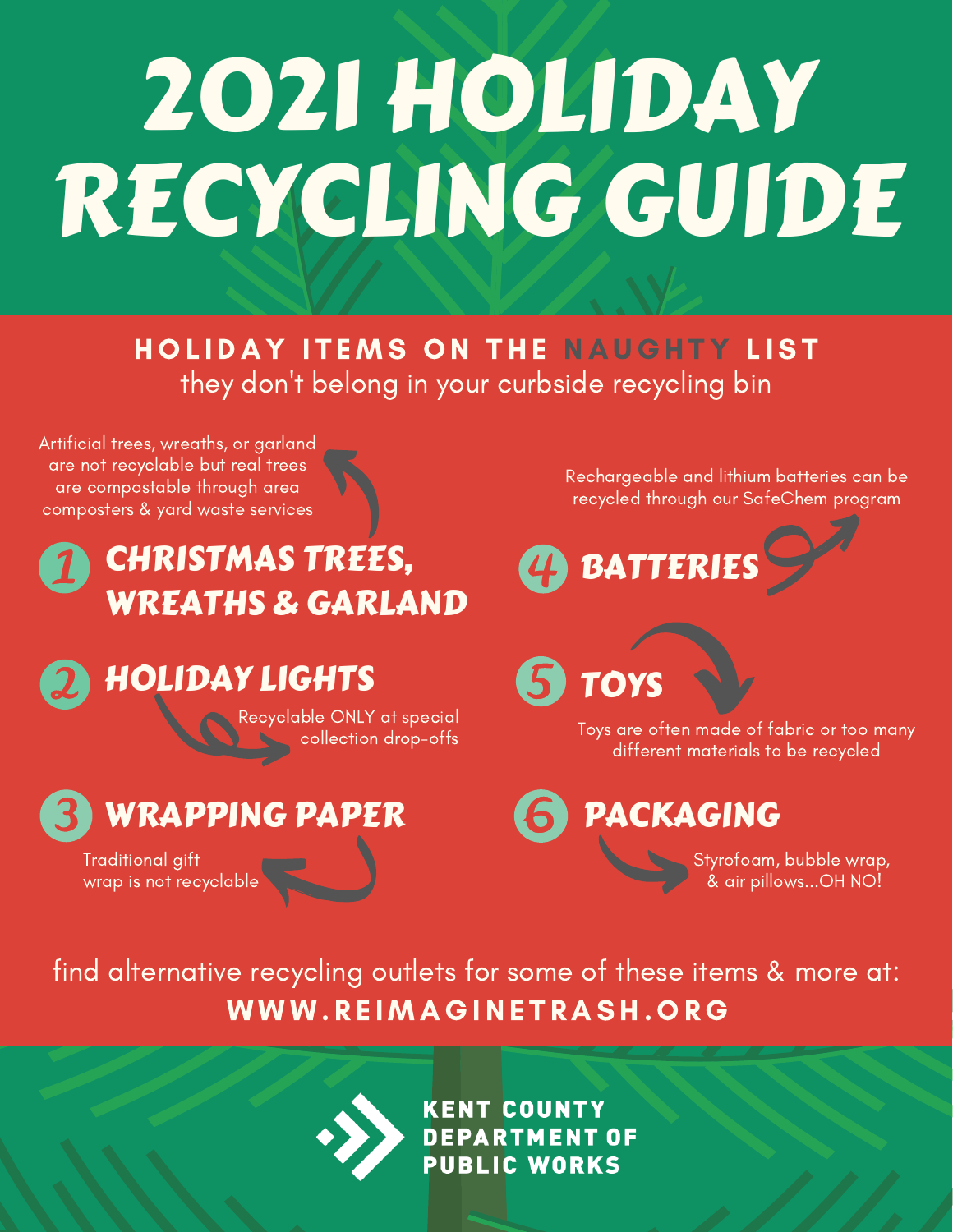# 2021 HOLIDAY RECYCLING GUIDE

they don 't belong in your curbside recycling bin HOLIDAY ITEMS ON THE NAUGHTY LIST

Artificial trees, wreaths, or garland are not recyclable but real trees are compostable through area composters & yard waste services

#### CHRISTMAS TREES, WREATHS & GARLAND

HOLIDAY LIGHTS

Recyclable ONLY at special collection drop-offs

### WRAPPING PAPER

Traditional gift wrap is not recyclable Rechargeable and lithium batteries can be recycled through our SafeChem program



5 TOYS

Toys are often made of fabric or too many different materials to be recycled

PACKAGING

Styrofoam, bubble wrap, & air pillows...OH NO!

WWW.REIMAGINETRASH.ORG find alternative recycling outlets for some of these items & more at:

KENT COUNTY<br>DEPARTMENT OF<br>PUBLIC WORKS